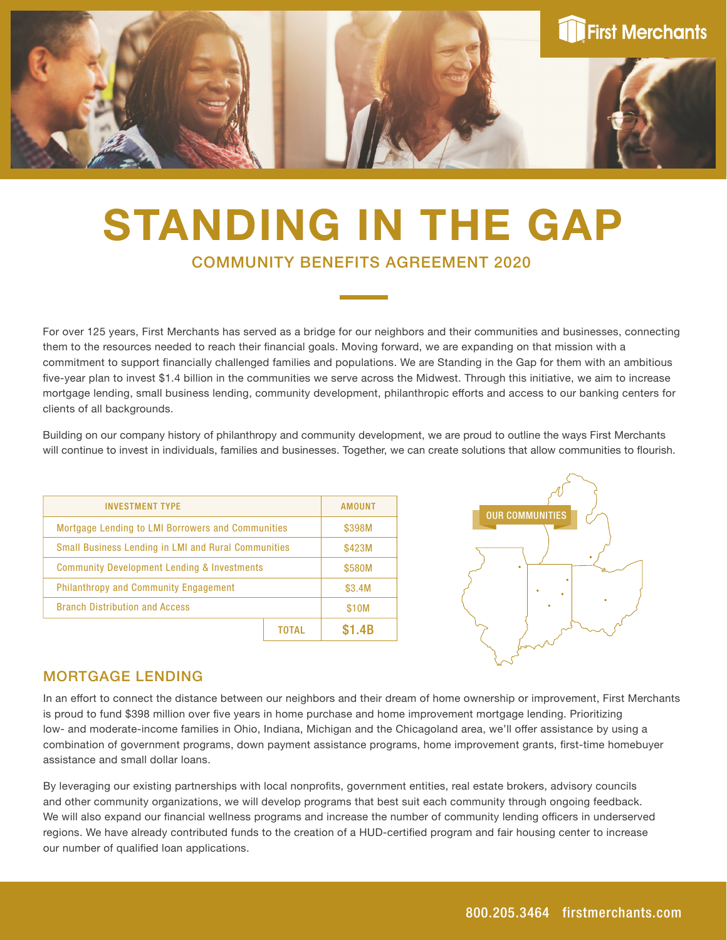

# COMMUNITY BENEFITS AGREEMENT 2020 STANDING IN THE GAP

For over 125 years, First Merchants has served as a bridge for our neighbors and their communities and businesses, connecting them to the resources needed to reach their financial goals. Moving forward, we are expanding on that mission with a commitment to support financially challenged families and populations. We are Standing in the Gap for them with an ambitious five-year plan to invest \$1.4 billion in the communities we serve across the Midwest. Through this initiative, we aim to increase mortgage lending, small business lending, community development, philanthropic efforts and access to our banking centers for clients of all backgrounds.

Building on our company history of philanthropy and community development, we are proud to outline the ways First Merchants will continue to invest in individuals, families and businesses. Together, we can create solutions that allow communities to flourish.

| <b>INVESTMENT TYPE</b>                                     |  | AMOUNT |
|------------------------------------------------------------|--|--------|
| Mortgage Lending to LMI Borrowers and Communities          |  | \$398M |
| <b>Small Business Lending in LMI and Rural Communities</b> |  | \$423M |
| <b>Community Development Lending &amp; Investments</b>     |  | \$580M |
| <b>Philanthropy and Community Engagement</b>               |  | \$3.4M |
| <b>Branch Distribution and Access</b>                      |  | \$10M  |
|                                                            |  | .4B    |



#### MORTGAGE LENDING

In an effort to connect the distance between our neighbors and their dream of home ownership or improvement, First Merchants is proud to fund \$398 million over five years in home purchase and home improvement mortgage lending. Prioritizing low- and moderate-income families in Ohio, Indiana, Michigan and the Chicagoland area, we'll offer assistance by using a combination of government programs, down payment assistance programs, home improvement grants, first-time homebuyer assistance and small dollar loans.

By leveraging our existing partnerships with local nonprofits, government entities, real estate brokers, advisory councils and other community organizations, we will develop programs that best suit each community through ongoing feedback. We will also expand our financial wellness programs and increase the number of community lending officers in underserved regions. We have already contributed funds to the creation of a HUD-certified program and fair housing center to increase our number of qualified loan applications.